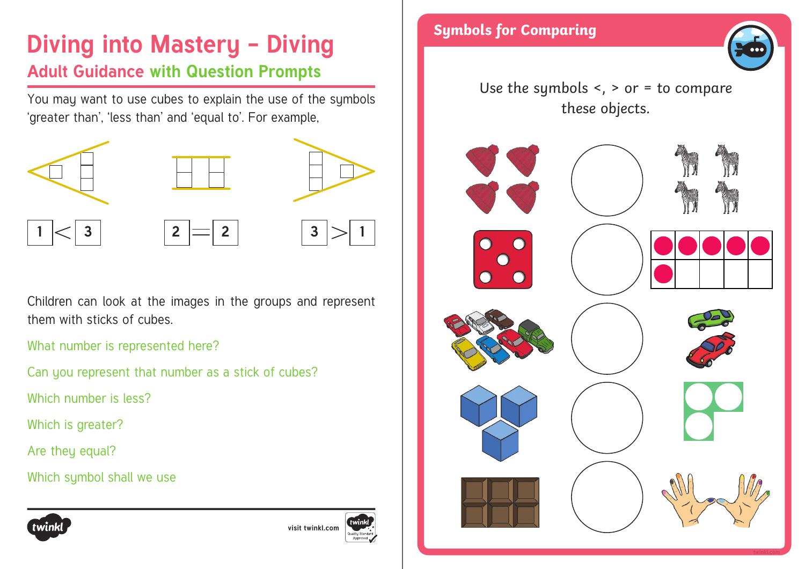### **Diving into Mastery - Diving Fig. 34 Symbols for Comparing Adult Guidance with Question Prompts**

You may want to use cubes to explain the use of the symbols 'greater than', 'less than' and 'equal to'. For example,



Children can look at the images in the groups and represent them with sticks of cubes.

What number is represented here?

Can you represent that number as a stick of cubes?

Which number is less?

Which is greater?

Are they equal?

Which symbol shall we use







Use the symbols  $\leq$ ,  $>$  or  $=$  to compare these objects.



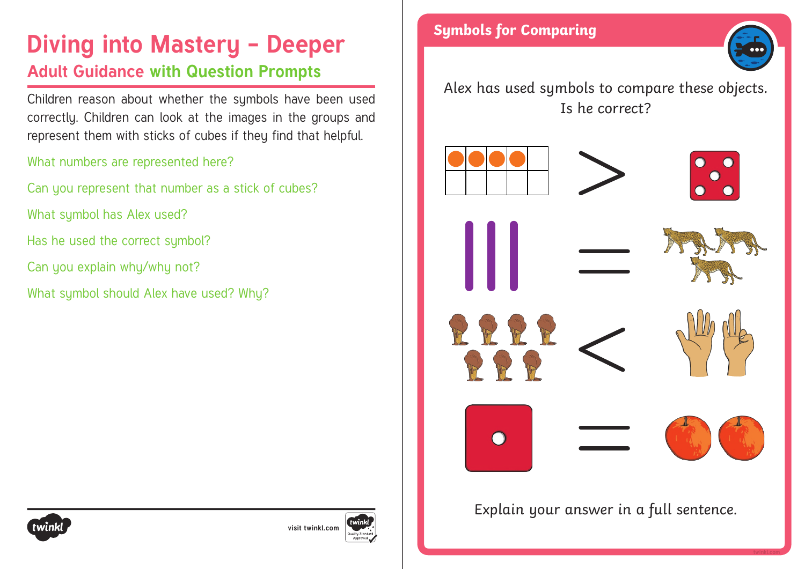# **Diving into Mastery - Deeper** Symbols for Comparing **Adult Guidance with Question Prompts**

Children reason about whether the symbols have been used correctly. Children can look at the images in the groups and represent them with sticks of cubes if they find that helpful.

### What numbers are represented here?

- Can you represent that number as a stick of cubes?
- What symbol has Alex used?
- Has he used the correct symbol?
- Can you explain why/why not?
- What symbol should Alex have used? Why?



Alex has used symbols to compare these objects. Is he correct?



Explain your answer in a full sentence.